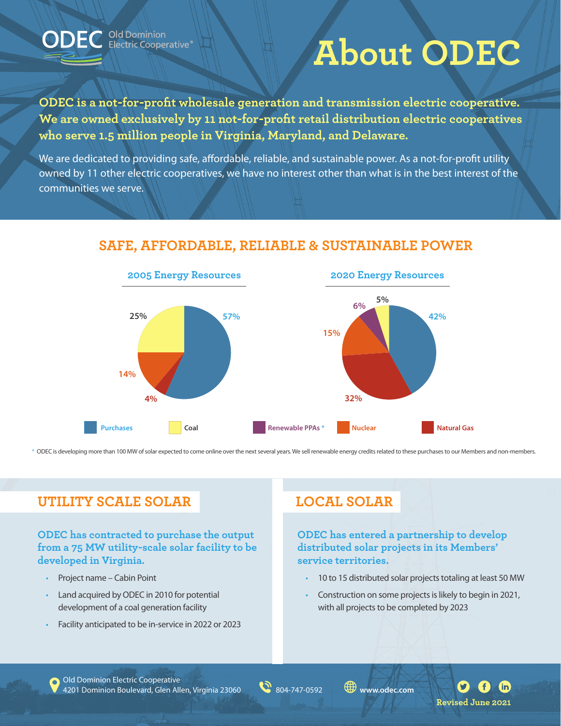

C Old Dominion<br>C Electric Cooperative®

# **About ODEC**

**ODEC is a not-for-profit wholesale generation and transmission electric cooperative. We are owned exclusively by 11 not-for-profit retail distribution electric cooperatives who serve 1.5 million people in Virginia, Maryland, and Delaware.**

We are dedicated to providing safe, affordable, reliable, and sustainable power. As a not-for-profit utility owned by 11 other electric cooperatives, we have no interest other than what is in the best interest of the communities we serve.



## **SAFE, AFFORDABLE, RELIABLE & SUSTAINABLE POWER**

\* ODEC is developing more than 100 MW of solar expected to come online over the next several years. We sell renewable energy credits related to these purchases to our Members and non-members.

# **UTILITY SCALE SOLAR LOCAL SOLAR**

#### **ODEC has contracted to purchase the output from a 75 MW utility-scale solar facility to be developed in Virginia.**

- Project name Cabin Point
- Land acquired by ODEC in 2010 for potential development of a coal generation facility
- Facility anticipated to be in-service in 2022 or 2023

**ODEC has entered a partnership to develop distributed solar projects in its Members' service territories.**

- 10 to 15 distributed solar projects totaling at least 50 MW
- Construction on some projects is likely to begin in 2021, with all projects to be completed by 2023

Old Dominion Electric Cooperative 4201 Dominion Boulevard, Glen Allen, Virginia 23060 804-747-0592 **www.odec.com**

 $\mathbf{fin}$ **Revised June 2021**